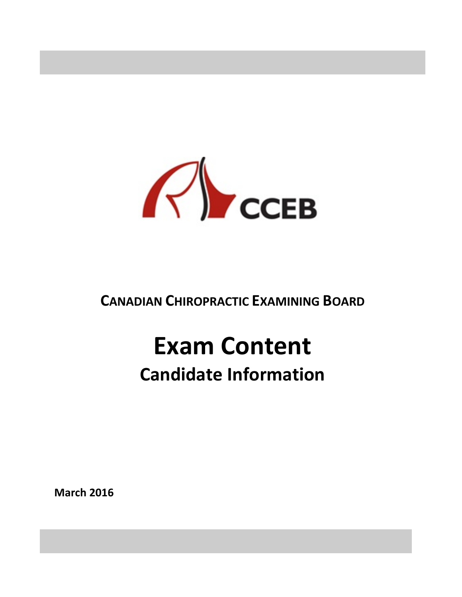

# **CANADIAN CHIROPRACTIC EXAMINING BOARD**

# **Exam Content Candidate Information**

#### **March 2016**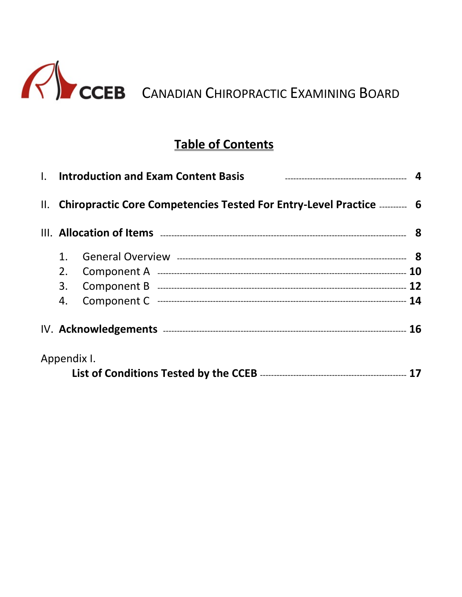

## **Table of Contents**

| I. Introduction and Exam Content Basis                                |  |
|-----------------------------------------------------------------------|--|
| II. Chiropractic Core Competencies Tested For Entry-Level Practice  6 |  |
|                                                                       |  |
| 1.                                                                    |  |
| 2.                                                                    |  |
| 3.                                                                    |  |
| 4.                                                                    |  |
|                                                                       |  |
| Appendix I.                                                           |  |
|                                                                       |  |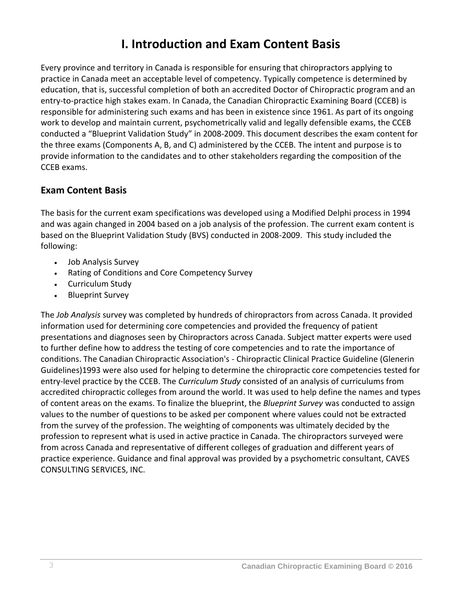## **I. Introduction and Exam Content Basis**

Every province and territory in Canada is responsible for ensuring that chiropractors applying to practice in Canada meet an acceptable level of competency. Typically competence is determined by education, that is, successful completion of both an accredited Doctor of Chiropractic program and an entry-to-practice high stakes exam. In Canada, the Canadian Chiropractic Examining Board (CCEB) is responsible for administering such exams and has been in existence since 1961. As part of its ongoing work to develop and maintain current, psychometrically valid and legally defensible exams, the CCEB conducted a "Blueprint Validation Study" in 2008-2009. This document describes the exam content for the three exams (Components A, B, and C) administered by the CCEB. The intent and purpose is to provide information to the candidates and to other stakeholders regarding the composition of the CCEB exams.

#### **Exam Content Basis**

The basis for the current exam specifications was developed using a Modified Delphi process in 1994 and was again changed in 2004 based on a job analysis of the profession. The current exam content is based on the Blueprint Validation Study (BVS) conducted in 2008-2009. This study included the following:

- Job Analysis Survey
- Rating of Conditions and Core Competency Survey
- Curriculum Study
- Blueprint Survey

The *Job Analysis* survey was completed by hundreds of chiropractors from across Canada. It provided information used for determining core competencies and provided the frequency of patient presentations and diagnoses seen by Chiropractors across Canada. Subject matter experts were used to further define how to address the testing of core competencies and to rate the importance of conditions. The Canadian Chiropractic Association's - Chiropractic Clinical Practice Guideline (Glenerin Guidelines)1993 were also used for helping to determine the chiropractic core competencies tested for entry-level practice by the CCEB. The *Curriculum Study* consisted of an analysis of curriculums from accredited chiropractic colleges from around the world. It was used to help define the names and types of content areas on the exams. To finalize the blueprint, the *Blueprint Survey* was conducted to assign values to the number of questions to be asked per component where values could not be extracted from the survey of the profession. The weighting of components was ultimately decided by the profession to represent what is used in active practice in Canada. The chiropractors surveyed were from across Canada and representative of different colleges of graduation and different years of practice experience. Guidance and final approval was provided by a psychometric consultant, CAVES CONSULTING SERVICES, INC.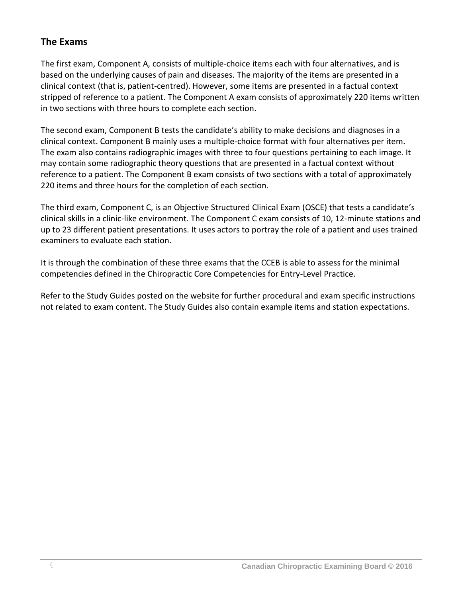#### **The Exams**

The first exam, Component A, consists of multiple-choice items each with four alternatives, and is based on the underlying causes of pain and diseases. The majority of the items are presented in a clinical context (that is, patient-centred). However, some items are presented in a factual context stripped of reference to a patient. The Component A exam consists of approximately 220 items written in two sections with three hours to complete each section.

The second exam, Component B tests the candidate's ability to make decisions and diagnoses in a clinical context. Component B mainly uses a multiple-choice format with four alternatives per item. The exam also contains radiographic images with three to four questions pertaining to each image. It may contain some radiographic theory questions that are presented in a factual context without reference to a patient. The Component B exam consists of two sections with a total of approximately 220 items and three hours for the completion of each section.

The third exam, Component C, is an Objective Structured Clinical Exam (OSCE) that tests a candidate's clinical skills in a clinic-like environment. The Component C exam consists of 10, 12-minute stations and up to 23 different patient presentations. It uses actors to portray the role of a patient and uses trained examiners to evaluate each station.

It is through the combination of these three exams that the CCEB is able to assess for the minimal competencies defined in the Chiropractic Core Competencies for Entry-Level Practice.

Refer to the Study Guides posted on the website for further procedural and exam specific instructions not related to exam content. The Study Guides also contain example items and station expectations.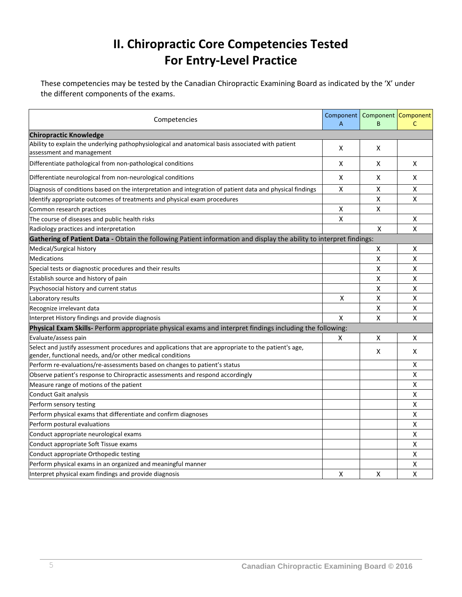# **II. Chiropractic Core Competencies Tested For Entry-Level Practice**

These competencies may be tested by the Canadian Chiropractic Examining Board as indicated by the 'X' under the different components of the exams.

| Competencies                                                                                                                   | Component<br>A | Component Component<br>B | C                  |
|--------------------------------------------------------------------------------------------------------------------------------|----------------|--------------------------|--------------------|
| <b>Chiropractic Knowledge</b>                                                                                                  |                |                          |                    |
| Ability to explain the underlying pathophysiological and anatomical basis associated with patient<br>assessment and management | X              | X                        |                    |
| Differentiate pathological from non-pathological conditions                                                                    | X              | x                        | X                  |
| Differentiate neurological from non-neurological conditions                                                                    | X              | x                        | X                  |
| Diagnosis of conditions based on the interpretation and integration of patient data and physical findings                      | X              | x                        | Χ                  |
| Identify appropriate outcomes of treatments and physical exam procedures                                                       |                | Χ                        | Χ                  |
| Common research practices                                                                                                      | X              | X                        |                    |
| The course of diseases and public health risks                                                                                 | X              |                          | x                  |
| Radiology practices and interpretation                                                                                         |                | X                        | $\pmb{\mathsf{X}}$ |
| Gathering of Patient Data - Obtain the following Patient information and display the ability to interpret findings:            |                |                          |                    |
| Medical/Surgical history                                                                                                       |                | х                        | x                  |
| <b>Medications</b>                                                                                                             |                | Χ                        | Χ                  |
| Special tests or diagnostic procedures and their results                                                                       |                | Χ                        | Χ                  |
| Establish source and history of pain                                                                                           |                | Χ                        | Χ                  |
| Psychosocial history and current status                                                                                        |                | x                        | Χ                  |
| Laboratory results                                                                                                             | х              | x                        | Χ                  |
| Recognize irrelevant data                                                                                                      |                | x                        | x                  |
| Interpret History findings and provide diagnosis                                                                               | X              | X                        | Χ                  |
| Physical Exam Skills- Perform appropriate physical exams and interpret findings including the following:                       |                |                          |                    |
| Evaluate/assess pain                                                                                                           | х              | Χ                        | x                  |
| Select and justify assessment procedures and applications that are appropriate to the patient's age,                           |                | X                        | x                  |
| gender, functional needs, and/or other medical conditions                                                                      |                |                          |                    |
| Perform re-evaluations/re-assessments based on changes to patient's status                                                     |                |                          | X                  |
| Observe patient's response to Chiropractic assessments and respond accordingly                                                 |                |                          | Χ                  |
| Measure range of motions of the patient                                                                                        |                |                          | Χ                  |
| Conduct Gait analysis                                                                                                          |                |                          | Χ                  |
| Perform sensory testing                                                                                                        |                |                          | Χ                  |
| Perform physical exams that differentiate and confirm diagnoses                                                                |                |                          | Χ                  |
| Perform postural evaluations                                                                                                   |                |                          | Χ                  |
| Conduct appropriate neurological exams                                                                                         |                |                          | Χ                  |
| Conduct appropriate Soft Tissue exams                                                                                          |                |                          | Χ                  |
| Conduct appropriate Orthopedic testing                                                                                         |                |                          | Χ                  |
| Perform physical exams in an organized and meaningful manner                                                                   |                |                          | Χ                  |
| Interpret physical exam findings and provide diagnosis                                                                         | X              | x                        | Χ                  |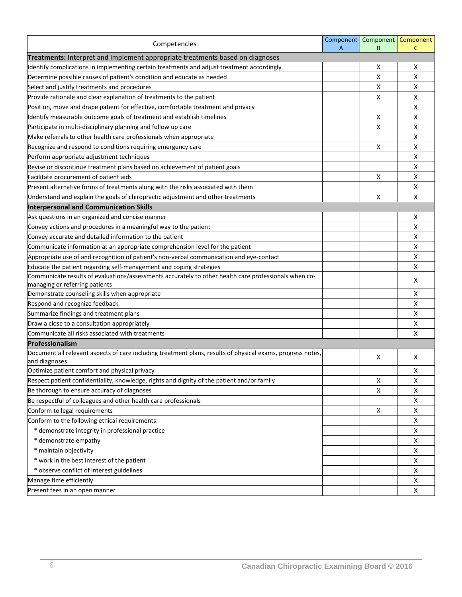| Competencies                                                                                                                 | Component<br>A | Component   Component<br>B | C  |
|------------------------------------------------------------------------------------------------------------------------------|----------------|----------------------------|----|
| Treatments: Interpret and Implement appropriate treatments based on diagnoses                                                |                |                            |    |
| Identify complications in implementing certain treatments and adjust treatment accordingly                                   |                | х                          | х  |
| Determine possible causes of patient's condition and educate as needed                                                       |                | Х                          | Χ  |
| Select and justify treatments and procedures                                                                                 |                | Х                          | x  |
| Provide rationale and clear explanation of treatments to the patient                                                         |                | Х                          | x  |
| Position, move and drape patient for effective, comfortable treatment and privacy                                            |                |                            | X  |
| Identify measurable outcome goals of treatment and establish timelines                                                       |                | X                          | х  |
| Participate in multi-disciplinary planning and follow up care                                                                |                | X                          | Χ  |
| Make referrals to other health care professionals when appropriate                                                           |                |                            | Χ  |
| Recognize and respond to conditions requiring emergency care                                                                 |                | х                          | Χ  |
| Perform appropriate adjustment techniques                                                                                    |                |                            | X  |
| Revise or discontinue treatment plans based on achievement of patient goals                                                  |                |                            | Χ  |
| Facilitate procurement of patient aids                                                                                       |                | Х                          | х  |
| Present alternative forms of treatments along with the risks associated with them                                            |                |                            | Χ  |
| Understand and explain the goals of chiropractic adjustment and other treatments                                             |                | X                          | X  |
| <b>Interpersonal and Communication Skills</b>                                                                                |                |                            |    |
| Ask questions in an organized and concise manner                                                                             |                |                            | х  |
| Convey actions and procedures in a meaningful way to the patient                                                             |                |                            | Χ  |
| Convey accurate and detailed information to the patient                                                                      |                |                            | Χ  |
| Communicate information at an appropriate comprehension level for the patient                                                |                |                            | X  |
| Appropriate use of and recognition of patient's non-verbal communication and eye-contact                                     |                |                            | Χ  |
| Educate the patient regarding self-management and coping strategies                                                          |                |                            | X  |
| Communicate results of evaluations/assessments accurately to other health care professionals when co-                        |                |                            |    |
| managing or referring patients                                                                                               |                |                            | х  |
| Demonstrate counseling skills when appropriate                                                                               |                |                            | х  |
| Respond and recognize feedback                                                                                               |                |                            | Χ  |
| Summarize findings and treatment plans                                                                                       |                |                            | Χ  |
| Draw a close to a consultation appropriately                                                                                 |                |                            | Χ  |
| Communicate all risks associated with treatments                                                                             |                |                            | Χ  |
| Professionalism                                                                                                              |                |                            |    |
| Document all relevant aspects of care including treatment plans, results of physical exams, progress notes,<br>and diagnoses |                | Х                          | X. |
| Optimize patient comfort and physical privacy                                                                                |                |                            | х  |
| Respect patient confidentiality, knowledge, rights and dignity of the patient and/or family                                  |                | X                          | X  |
| Be thorough to ensure accuracy of diagnoses                                                                                  |                | Х                          | X  |
| Be respectful of colleagues and other health care professionals                                                              |                |                            | X  |
| Conform to legal requirements                                                                                                |                | X                          | X  |
| Conform to the following ethical requirements:                                                                               |                |                            | x  |
| * demonstrate integrity in professional practice                                                                             |                |                            | X  |
| * demonstrate empathy                                                                                                        |                |                            | Χ  |
| * maintain objectivity                                                                                                       |                |                            | X  |
| * work in the best interest of the patient                                                                                   |                |                            | X  |
| * observe conflict of interest guidelines                                                                                    |                |                            | X  |
| Manage time efficiently                                                                                                      |                |                            | X  |
| Present fees in an open manner                                                                                               |                |                            | X  |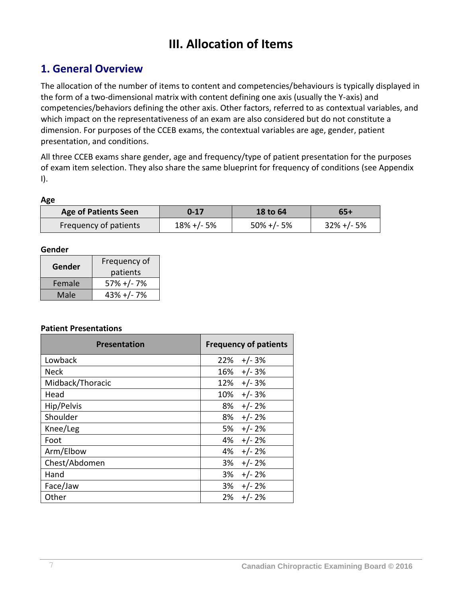# **III. Allocation of Items**

#### **1. General Overview**

The allocation of the number of items to content and competencies/behaviours is typically displayed in the form of a two-dimensional matrix with content defining one axis (usually the Y-axis) and competencies/behaviors defining the other axis. Other factors, referred to as contextual variables, and which impact on the representativeness of an exam are also considered but do not constitute a dimension. For purposes of the CCEB exams, the contextual variables are age, gender, patient presentation, and conditions.

All three CCEB exams share gender, age and frequency/type of patient presentation for the purposes of exam item selection. They also share the same blueprint for frequency of conditions (see Appendix I).

#### **Age**

| <b>Age of Patients Seen</b> | 0-17            | <b>18 to 64</b> | 65+             |
|-----------------------------|-----------------|-----------------|-----------------|
| Frequency of patients       | $18\% + (-5\%)$ | $50\% + (-5\%)$ | $32\% + (-5\%)$ |

#### **Gender**

| Gender | Frequency of   |  |
|--------|----------------|--|
|        | patients       |  |
| Female | $57\% + (-7\%$ |  |
| Male   | $43% +/-7%$    |  |

#### **Patient Presentations**

| <b>Presentation</b> | <b>Frequency of patients</b> |
|---------------------|------------------------------|
| Lowback             | 22%<br>$+/- 3%$              |
| <b>Neck</b>         | $+/- 3%$<br>16%              |
| Midback/Thoracic    | $+/- 3%$<br>12%              |
| Head                | $+/- 3%$<br>10%              |
| Hip/Pelvis          | 8%<br>$+/- 2%$               |
| Shoulder            | $+/- 2%$<br>8%               |
| Knee/Leg            | $+/- 2%$<br>5%               |
| Foot                | $+/- 2%$<br>4%               |
| Arm/Elbow           | $+/- 2%$<br>4%               |
| Chest/Abdomen       | $+/- 2%$<br>3%               |
| Hand                | $+/- 2%$<br>3%               |
| Face/Jaw            | $+/- 2%$<br>3%               |
| Other               | $+/- 2%$<br>2%               |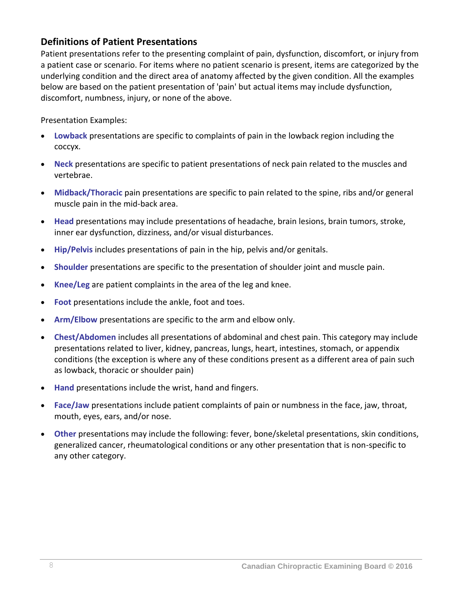#### **Definitions of Patient Presentations**

Patient presentations refer to the presenting complaint of pain, dysfunction, discomfort, or injury from a patient case or scenario. For items where no patient scenario is present, items are categorized by the underlying condition and the direct area of anatomy affected by the given condition. All the examples below are based on the patient presentation of 'pain' but actual items may include dysfunction, discomfort, numbness, injury, or none of the above.

Presentation Examples:

- **Lowback** presentations are specific to complaints of pain in the lowback region including the coccyx.
- **Neck** presentations are specific to patient presentations of neck pain related to the muscles and vertebrae.
- **Midback/Thoracic** pain presentations are specific to pain related to the spine, ribs and/or general muscle pain in the mid-back area.
- **Head** presentations may include presentations of headache, brain lesions, brain tumors, stroke, inner ear dysfunction, dizziness, and/or visual disturbances.
- **Hip/Pelvis** includes presentations of pain in the hip, pelvis and/or genitals.
- **Shoulder** presentations are specific to the presentation of shoulder joint and muscle pain.
- **Knee/Leg** are patient complaints in the area of the leg and knee.
- **Foot** presentations include the ankle, foot and toes.
- **Arm/Elbow** presentations are specific to the arm and elbow only.
- **Chest/Abdomen** includes all presentations of abdominal and chest pain. This category may include presentations related to liver, kidney, pancreas, lungs, heart, intestines, stomach, or appendix conditions (the exception is where any of these conditions present as a different area of pain such as lowback, thoracic or shoulder pain)
- **Hand** presentations include the wrist, hand and fingers.
- **Face/Jaw** presentations include patient complaints of pain or numbness in the face, jaw, throat, mouth, eyes, ears, and/or nose.
- **Other** presentations may include the following: fever, bone/skeletal presentations, skin conditions, generalized cancer, rheumatological conditions or any other presentation that is non-specific to any other category.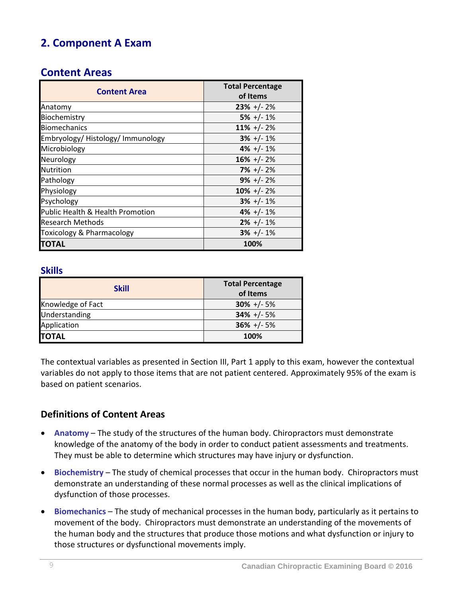## **2. Component A Exam**

#### **Content Areas**

| <b>Content Area</b>                  | <b>Total Percentage</b><br>of Items |
|--------------------------------------|-------------------------------------|
| Anatomy                              | $23\% + (-2\%)$                     |
| Biochemistry                         | $5\% +/- 1\%$                       |
| <b>Biomechanics</b>                  | $11\% + (-2\%$                      |
| Embryology/Histology/Immunology      | $3\% +/- 1\%$                       |
| Microbiology                         | $4\% + (-1\%$                       |
| Neurology                            | $16\% + (-2\%$                      |
| <b>Nutrition</b>                     | $7\% +/- 2\%$                       |
| Pathology                            | $9\% +/- 2\%$                       |
| Physiology                           | $10\% + (-2\%$                      |
| Psychology                           | $3\% + (-1)\%$                      |
| Public Health & Health Promotion     | $4\% + (-1\%$                       |
| <b>Research Methods</b>              | $2\% + (-1\%$                       |
| <b>Toxicology &amp; Pharmacology</b> | $3\% + (-1)\%$                      |
| <b>TOTAL</b>                         | 100%                                |

#### **Skills**

| <b>Skill</b>      | <b>Total Percentage</b><br>of Items |
|-------------------|-------------------------------------|
| Knowledge of Fact | $30\% +/- 5\%$                      |
| Understanding     | $34\% +/- 5\%$                      |
| Application       | $36\% + (-5\%)$                     |
| <b>TOTAL</b>      | 100%                                |

The contextual variables as presented in Section III, Part 1 apply to this exam, however the contextual variables do not apply to those items that are not patient centered. Approximately 95% of the exam is based on patient scenarios.

#### **Definitions of Content Areas**

- **Anatomy** The study of the structures of the human body. Chiropractors must demonstrate knowledge of the anatomy of the body in order to conduct patient assessments and treatments. They must be able to determine which structures may have injury or dysfunction.
- **Biochemistry** The study of chemical processes that occur in the human body. Chiropractors must demonstrate an understanding of these normal processes as well as the clinical implications of dysfunction of those processes.
- **Biomechanics** The study of mechanical processes in the human body, particularly as it pertains to movement of the body. Chiropractors must demonstrate an understanding of the movements of the human body and the structures that produce those motions and what dysfunction or injury to those structures or dysfunctional movements imply.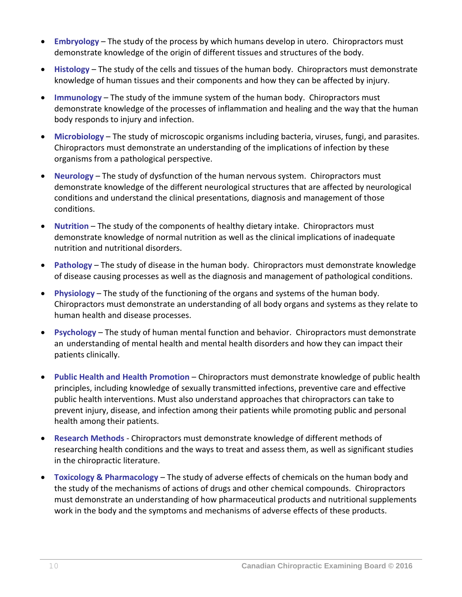- **Embryology** The study of the process by which humans develop in utero. Chiropractors must demonstrate knowledge of the origin of different tissues and structures of the body.
- **Histology** The study of the cells and tissues of the human body. Chiropractors must demonstrate knowledge of human tissues and their components and how they can be affected by injury.
- **Immunology** The study of the immune system of the human body. Chiropractors must demonstrate knowledge of the processes of inflammation and healing and the way that the human body responds to injury and infection.
- **Microbiology** The study of microscopic organisms including bacteria, viruses, fungi, and parasites. Chiropractors must demonstrate an understanding of the implications of infection by these organisms from a pathological perspective.
- **Neurology** The study of dysfunction of the human nervous system. Chiropractors must demonstrate knowledge of the different neurological structures that are affected by neurological conditions and understand the clinical presentations, diagnosis and management of those conditions.
- **Nutrition** The study of the components of healthy dietary intake. Chiropractors must demonstrate knowledge of normal nutrition as well as the clinical implications of inadequate nutrition and nutritional disorders.
- **Pathology** The study of disease in the human body. Chiropractors must demonstrate knowledge of disease causing processes as well as the diagnosis and management of pathological conditions.
- **Physiology** The study of the functioning of the organs and systems of the human body. Chiropractors must demonstrate an understanding of all body organs and systems as they relate to human health and disease processes.
- **Psychology** The study of human mental function and behavior. Chiropractors must demonstrate an understanding of mental health and mental health disorders and how they can impact their patients clinically.
- **Public Health and Health Promotion** Chiropractors must demonstrate knowledge of public health principles, including knowledge of sexually transmitted infections, preventive care and effective public health interventions. Must also understand approaches that chiropractors can take to prevent injury, disease, and infection among their patients while promoting public and personal health among their patients.
- **Research Methods** Chiropractors must demonstrate knowledge of different methods of researching health conditions and the ways to treat and assess them, as well as significant studies in the chiropractic literature.
- **Toxicology & Pharmacology** The study of adverse effects of chemicals on the human body and the study of the mechanisms of actions of drugs and other chemical compounds. Chiropractors must demonstrate an understanding of how pharmaceutical products and nutritional supplements work in the body and the symptoms and mechanisms of adverse effects of these products.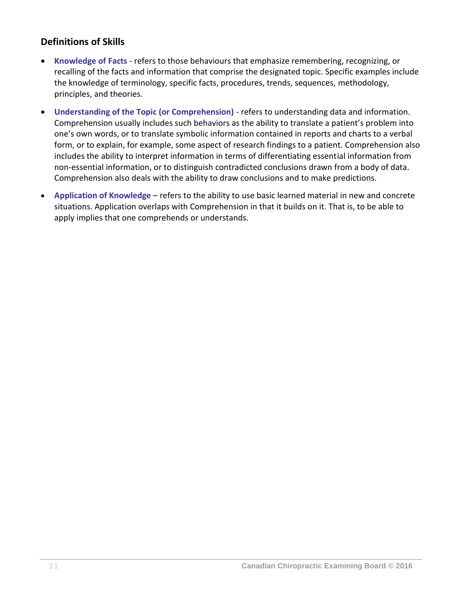#### **Definitions of Skills**

- **Knowledge of Facts** refers to those behaviours that emphasize remembering, recognizing, or recalling of the facts and information that comprise the designated topic. Specific examples include the knowledge of terminology, specific facts, procedures, trends, sequences, methodology, principles, and theories.
- **Understanding of the Topic (or Comprehension)** refers to understanding data and information. Comprehension usually includes such behaviors as the ability to translate a patient's problem into one's own words, or to translate symbolic information contained in reports and charts to a verbal form, or to explain, for example, some aspect of research findings to a patient. Comprehension also includes the ability to interpret information in terms of differentiating essential information from non-essential information, or to distinguish contradicted conclusions drawn from a body of data. Comprehension also deals with the ability to draw conclusions and to make predictions.
- **Application of Knowledge** refers to the ability to use basic learned material in new and concrete situations. Application overlaps with Comprehension in that it builds on it. That is, to be able to apply implies that one comprehends or understands.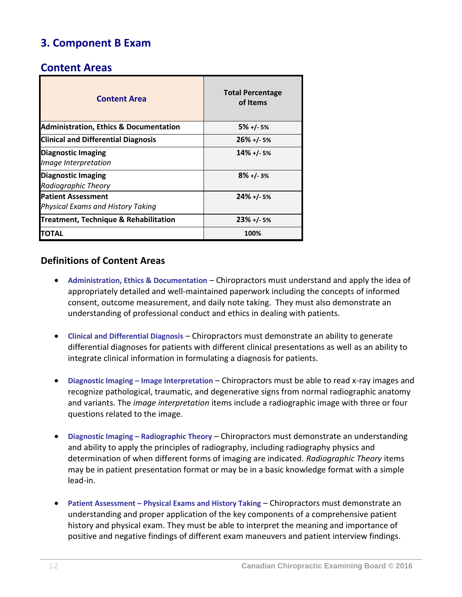## **3. Component B Exam**

#### **Content Areas**

| <b>Content Area</b>                                            | <b>Total Percentage</b><br>of Items |
|----------------------------------------------------------------|-------------------------------------|
| <b>Administration, Ethics &amp; Documentation</b>              | $5\% + (-5\%$                       |
| <b>Clinical and Differential Diagnosis</b>                     | $26\% + (-5\%$                      |
| <b>Diagnostic Imaging</b><br>Image Interpretation              | $14\% + 1.5\%$                      |
| <b>Diagnostic Imaging</b><br>Radiographic Theory               | $8\% + 1.3\%$                       |
| <b>Patient Assessment</b><br>Physical Exams and History Taking | $24\% + 1.5\%$                      |
| Treatment, Technique & Rehabilitation                          | $23\% + 1.5\%$                      |
| ΓΟΤΑΙ                                                          | 100%                                |

#### **Definitions of Content Areas**

- **Administration, Ethics & Documentation** Chiropractors must understand and apply the idea of appropriately detailed and well-maintained paperwork including the concepts of informed consent, outcome measurement, and daily note taking. They must also demonstrate an understanding of professional conduct and ethics in dealing with patients.
- **Clinical and Differential Diagnosis** Chiropractors must demonstrate an ability to generate differential diagnoses for patients with different clinical presentations as well as an ability to integrate clinical information in formulating a diagnosis for patients.
- **Diagnostic Imaging – Image Interpretation** Chiropractors must be able to read x-ray images and recognize pathological, traumatic, and degenerative signs from normal radiographic anatomy and variants. The *image interpretation* items include a radiographic image with three or four questions related to the image.
- **Diagnostic Imaging – Radiographic Theory** Chiropractors must demonstrate an understanding and ability to apply the principles of radiography, including radiography physics and determination of when different forms of imaging are indicated. *Radiographic Theory* items may be in patient presentation format or may be in a basic knowledge format with a simple lead-in.
- **Patient Assessment – Physical Exams and History Taking** Chiropractors must demonstrate an understanding and proper application of the key components of a comprehensive patient history and physical exam. They must be able to interpret the meaning and importance of positive and negative findings of different exam maneuvers and patient interview findings.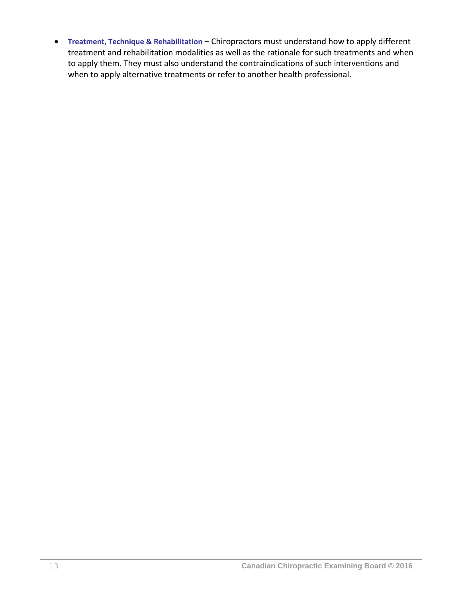**Treatment, Technique & Rehabilitation** – Chiropractors must understand how to apply different treatment and rehabilitation modalities as well as the rationale for such treatments and when to apply them. They must also understand the contraindications of such interventions and when to apply alternative treatments or refer to another health professional.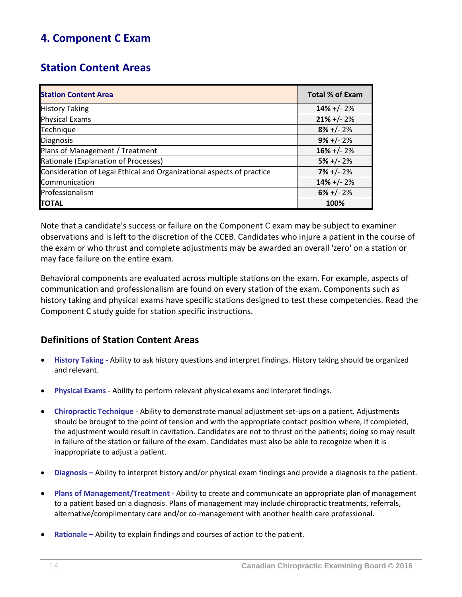## **4. Component C Exam**

## **Station Content Areas**

| <b>Station Content Area</b>                                           | <b>Total % of Exam</b> |
|-----------------------------------------------------------------------|------------------------|
| <b>History Taking</b>                                                 | $14\% + (-2\%)$        |
| <b>Physical Exams</b>                                                 | $21\% + (-2\%)$        |
| Technique                                                             | $8\% + (-2\%$          |
| <b>Diagnosis</b>                                                      | $9\% + (-2\%$          |
| Plans of Management / Treatment                                       | $16\% + (-2\%)$        |
| Rationale (Explanation of Processes)                                  | $5\% + (-2\%$          |
| Consideration of Legal Ethical and Organizational aspects of practice | $7\% + (-2\%$          |
| Communication                                                         | $14\% + (-2\%$         |
| Professionalism                                                       | $6\% +/- 2\%$          |
| <b>TOTAL</b>                                                          | 100%                   |

Note that a candidate's success or failure on the Component C exam may be subject to examiner observations and is left to the discretion of the CCEB. Candidates who injure a patient in the course of the exam or who thrust and complete adjustments may be awarded an overall 'zero' on a station or may face failure on the entire exam.

Behavioral components are evaluated across multiple stations on the exam. For example, aspects of communication and professionalism are found on every station of the exam. Components such as history taking and physical exams have specific stations designed to test these competencies. Read the Component C study guide for station specific instructions.

#### **Definitions of Station Content Areas**

- **History Taking -** Ability to ask history questions and interpret findings. History taking should be organized and relevant.
- **Physical Exams** Ability to perform relevant physical exams and interpret findings.
- **Chiropractic Technique**  Ability to demonstrate manual adjustment set-ups on a patient. Adjustments should be brought to the point of tension and with the appropriate contact position where, if completed, the adjustment would result in cavitation. Candidates are not to thrust on the patients; doing so may result in failure of the station or failure of the exam. Candidates must also be able to recognize when it is inappropriate to adjust a patient.
- **Diagnosis –** Ability to interpret history and/or physical exam findings and provide a diagnosis to the patient.
- **Plans of Management/Treatment** Ability to create and communicate an appropriate plan of management to a patient based on a diagnosis. Plans of management may include chiropractic treatments, referrals, alternative/complimentary care and/or co-management with another health care professional.
- **Rationale –** Ability to explain findings and courses of action to the patient.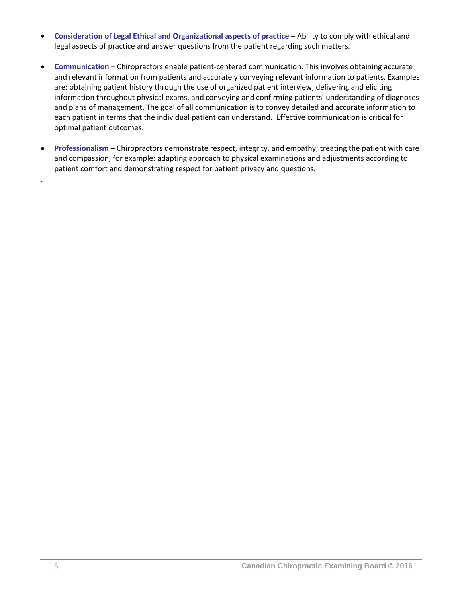- **Consideration of Legal Ethical and Organizational aspects of practice** Ability to comply with ethical and legal aspects of practice and answer questions from the patient regarding such matters.
- **Communication** Chiropractors enable patient-centered communication. This involves obtaining accurate and relevant information from patients and accurately conveying relevant information to patients. Examples are: obtaining patient history through the use of organized patient interview, delivering and eliciting information throughout physical exams, and conveying and confirming patients' understanding of diagnoses and plans of management. The goal of all communication is to convey detailed and accurate information to each patient in terms that the individual patient can understand. Effective communication is critical for optimal patient outcomes.
- **Professionalism** Chiropractors demonstrate respect, integrity, and empathy; treating the patient with care and compassion, for example: adapting approach to physical examinations and adjustments according to patient comfort and demonstrating respect for patient privacy and questions.

.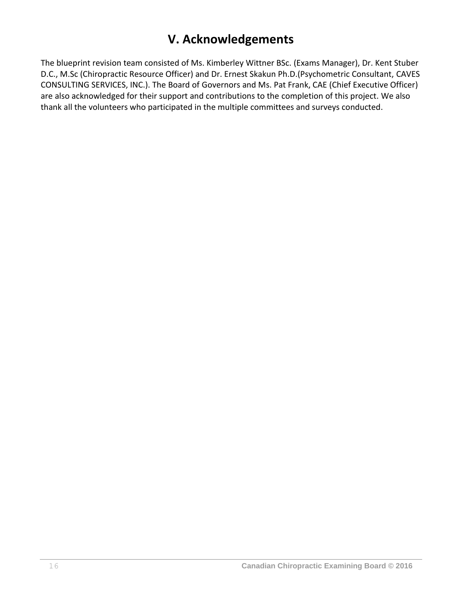## **V. Acknowledgements**

The blueprint revision team consisted of Ms. Kimberley Wittner BSc. (Exams Manager), Dr. Kent Stuber D.C., M.Sc (Chiropractic Resource Officer) and Dr. Ernest Skakun Ph.D.(Psychometric Consultant, CAVES CONSULTING SERVICES, INC.). The Board of Governors and Ms. Pat Frank, CAE (Chief Executive Officer) are also acknowledged for their support and contributions to the completion of this project. We also thank all the volunteers who participated in the multiple committees and surveys conducted.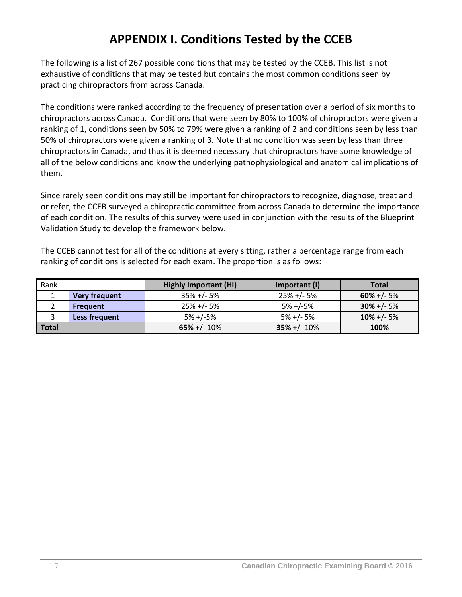# **APPENDIX I. Conditions Tested by the CCEB**

The following is a list of 267 possible conditions that may be tested by the CCEB. This list is not exhaustive of conditions that may be tested but contains the most common conditions seen by practicing chiropractors from across Canada.

The conditions were ranked according to the frequency of presentation over a period of six months to chiropractors across Canada. Conditions that were seen by 80% to 100% of chiropractors were given a ranking of 1, conditions seen by 50% to 79% were given a ranking of 2 and conditions seen by less than 50% of chiropractors were given a ranking of 3. Note that no condition was seen by less than three chiropractors in Canada, and thus it is deemed necessary that chiropractors have some knowledge of all of the below conditions and know the underlying pathophysiological and anatomical implications of them.

Since rarely seen conditions may still be important for chiropractors to recognize, diagnose, treat and or refer, the CCEB surveyed a chiropractic committee from across Canada to determine the importance of each condition. The results of this survey were used in conjunction with the results of the Blueprint Validation Study to develop the framework below.

The CCEB cannot test for all of the conditions at every sitting, rather a percentage range from each ranking of conditions is selected for each exam. The proportion is as follows:

| Rank  |                      | <b>Highly Important (HI)</b> | Important (I)    | <b>Total</b>   |
|-------|----------------------|------------------------------|------------------|----------------|
|       | <b>Very frequent</b> | $35\% +/- 5\%$               | $25\% + (-5\%$   | $60\% + (-5\%$ |
|       | <b>Frequent</b>      | $25\% +/- 5\%$               | $5% +/-5%$       | $30\% + (-5\%$ |
|       | Less frequent        | $5% +/-5%$                   | $5% +/- 5%$      | $10\% + (-5\%$ |
| Total |                      | $65\% +/- 10\%$              | $35\% + (-10\%)$ | 100%           |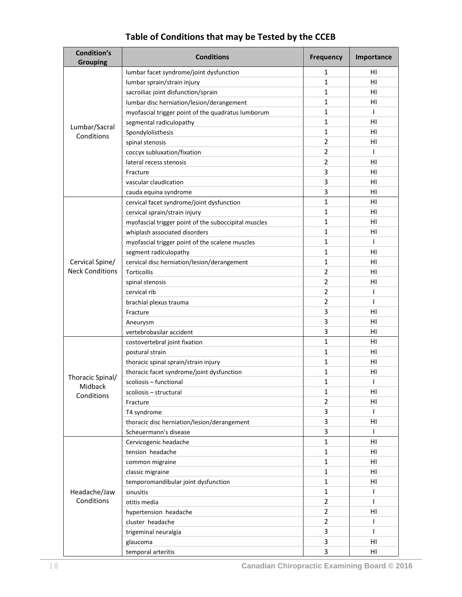| <b>Condition's</b><br><b>Grouping</b> | <b>Conditions</b>                                    | <b>Frequency</b> | Importance     |
|---------------------------------------|------------------------------------------------------|------------------|----------------|
|                                       | lumbar facet syndrome/joint dysfunction              | 1                | ΗI             |
|                                       | lumbar sprain/strain injury                          | 1                | HI             |
|                                       | sacroiliac joint disfunction/sprain                  | 1                | HI             |
|                                       | lumbar disc herniation/lesion/derangement            | 1                | HI             |
|                                       | myofascial trigger point of the quadratus lumborum   | 1                | $\mathbf{I}$   |
|                                       | segmental radiculopathy                              | 1                | ΗI             |
| Lumbar/Sacral<br>Conditions           | Spondylolisthesis                                    | 1                | HI             |
|                                       | spinal stenosis                                      | $\overline{2}$   | HI             |
|                                       | coccyx subluxation/fixation                          | 2                | $\mathbf{I}$   |
|                                       | lateral recess stenosis                              | 2                | ΗI             |
|                                       | Fracture                                             | 3                | HI             |
|                                       | vascular claudication                                | 3                | HI             |
|                                       | cauda equina syndrome                                | 3                | HI             |
|                                       | cervical facet syndrome/joint dysfunction            | 1                | ΗI             |
|                                       | cervical sprain/strain injury                        | 1                | ΗI             |
|                                       | myofascial trigger point of the suboccipital muscles | 1                | HI             |
|                                       | whiplash associated disorders                        | 1                | HI             |
|                                       | myofascial trigger point of the scalene muscles      | 1                | T              |
|                                       | segment radiculopathy                                | 1                | ΗI             |
| Cervical Spine/                       | cervical disc herniation/lesion/derangement          | 1                | ΗI             |
| <b>Neck Conditions</b>                | <b>Torticollis</b>                                   | $\overline{2}$   | HI             |
|                                       | spinal stenosis                                      | 2                | HI             |
|                                       | cervical rib                                         | $\overline{2}$   | T              |
|                                       | brachial plexus trauma                               | 2                | I              |
|                                       | Fracture                                             | 3                | ΗI             |
|                                       | Aneurysm                                             | 3                | HI             |
|                                       | vertebrobasilar accident                             | 3                | H <sub>1</sub> |
|                                       | costovertebral joint fixation                        | 1                | ΗI             |
|                                       | postural strain                                      | 1                | ΗI             |
|                                       | thoracic spinal sprain/strain injury                 | 1                | ΗI             |
|                                       | thoracic facet syndrome/joint dysfunction            | 1                | ΗI             |
| Thoracic Spinal/                      | scoliosis - functional                               | 1                | T              |
| Midback<br>Conditions                 | scoliosis - structural                               | 1                | HI             |
|                                       | Fracture                                             | 2                | HI             |
|                                       | T4 syndrome                                          | 3                | T              |
|                                       | thoracic disc herniation/lesion/derangement          | 3                | HI             |
|                                       | Scheuermann's disease                                | 3                | T              |
|                                       | Cervicogenic headache                                | $\mathbf{1}$     | ΗI             |
|                                       | tension headache                                     | $\mathbf{1}$     | ΗI             |
|                                       | common migraine                                      | 1                | HI             |
|                                       | classic migraine                                     | 1                | HI.            |
|                                       | temporomandibular joint dysfunction                  | 1                | HI             |
| Headache/Jaw                          | sinusitis                                            | 1                | $\mathbf{I}$   |
| Conditions                            | otitis media                                         | 2                | $\mathbf{I}$   |
|                                       | hypertension headache                                | 2                | HI             |
|                                       | cluster headache                                     | $\overline{2}$   | T              |
|                                       | trigeminal neuralgia                                 | 3                | T              |
|                                       | glaucoma                                             | 3                | ΗI             |
|                                       | temporal arteritis                                   | 3                | HI.            |

## **Table of Conditions that may be Tested by the CCEB**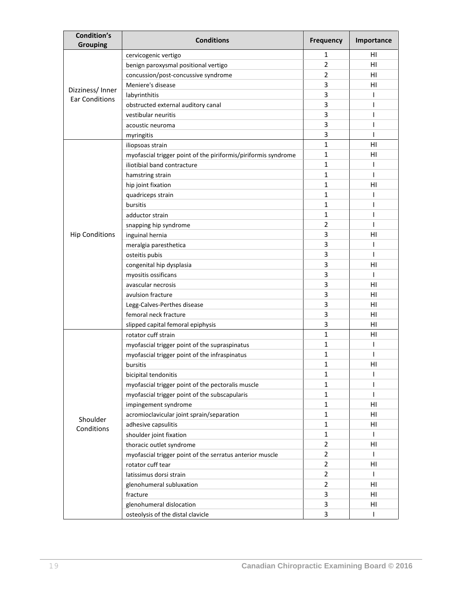| Condition's<br><b>Grouping</b> | <b>Conditions</b>                                              | Frequency      | Importance |
|--------------------------------|----------------------------------------------------------------|----------------|------------|
|                                | cervicogenic vertigo                                           | 1              | нı         |
|                                | benign paroxysmal positional vertigo                           | $\overline{2}$ | HI         |
|                                | concussion/post-concussive syndrome                            | 2              | HI         |
| Dizziness/Inner                | Meniere's disease                                              | 3              | HI         |
| <b>Ear Conditions</b>          | labyrinthitis                                                  | 3              | ı          |
|                                | obstructed external auditory canal                             | 3              | ı          |
|                                | vestibular neuritis                                            | 3              | ı          |
|                                | acoustic neuroma                                               | 3              |            |
|                                | myringitis                                                     | 3              | ı          |
|                                | iliopsoas strain                                               | 1              | HI         |
|                                | myofascial trigger point of the piriformis/piriformis syndrome | 1              | HI         |
|                                | iliotibial band contracture                                    | 1              | ı          |
|                                | hamstring strain                                               | 1              | ı          |
|                                | hip joint fixation                                             | 1              | HI         |
|                                | quadriceps strain                                              | 1              | ı          |
|                                | bursitis                                                       | 1              | ı          |
|                                | adductor strain                                                | 1              |            |
|                                | snapping hip syndrome                                          | 2              | ı          |
| <b>Hip Conditions</b>          | inguinal hernia                                                | 3              | HI         |
|                                | meralgia paresthetica                                          | 3              | ı          |
|                                | osteitis pubis                                                 | 3              | T          |
|                                | congenital hip dysplasia                                       | 3              | HI         |
|                                | myositis ossificans                                            | 3              | ı          |
|                                | avascular necrosis                                             | 3              | ΗI         |
|                                | avulsion fracture                                              | 3              | нı         |
|                                | Legg-Calves-Perthes disease                                    | 3              | HI         |
|                                | femoral neck fracture                                          | 3              | HI         |
|                                | slipped capital femoral epiphysis                              | 3              | HI         |
|                                | rotator cuff strain                                            | 1              | HI         |
|                                | myofascial trigger point of the supraspinatus                  | 1              | ı          |
|                                | myofascial trigger point of the infraspinatus                  | 1              | ı          |
|                                | bursitis                                                       | 1              | HI         |
|                                | bicipital tendonitis                                           | 1              | T          |
|                                | myofascial trigger point of the pectoralis muscle              | 1              | ı          |
|                                | myofascial trigger point of the subscapularis                  | 1              | T          |
|                                | impingement syndrome                                           | 1              | HI         |
| Shoulder                       | acromioclavicular joint sprain/separation                      | 1              | HI         |
| Conditions                     | adhesive capsulitis                                            | $\mathbf{1}$   | HI         |
|                                | shoulder joint fixation                                        | 1              | T          |
|                                | thoracic outlet syndrome                                       | $\overline{2}$ | HI         |
|                                | myofascial trigger point of the serratus anterior muscle       | 2              | L          |
|                                | rotator cuff tear                                              | 2              | HI         |
|                                | latissimus dorsi strain                                        | $\overline{2}$ | T          |
|                                | glenohumeral subluxation                                       | 2              | HI         |
|                                | fracture                                                       | 3              | HI         |
|                                | glenohumeral dislocation                                       | 3              | HI         |
|                                | osteolysis of the distal clavicle                              | 3              | ı          |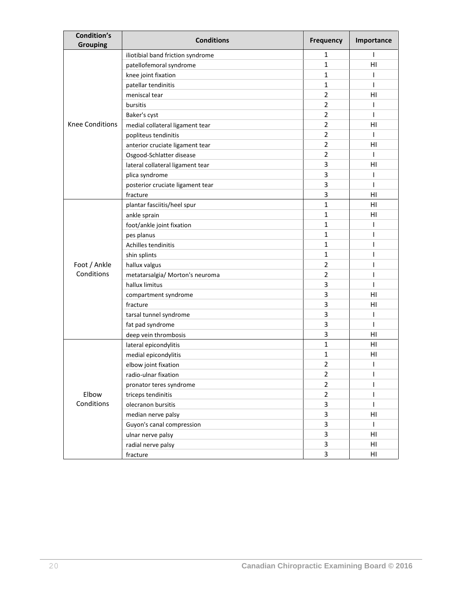| Condition's<br><b>Grouping</b> | <b>Conditions</b>                 | Frequency      | Importance     |
|--------------------------------|-----------------------------------|----------------|----------------|
|                                | iliotibial band friction syndrome | 1              | T              |
|                                | patellofemoral syndrome           | $\mathbf{1}$   | H <sub>1</sub> |
|                                | knee joint fixation               | 1              | I              |
|                                | patellar tendinitis               | 1              | ı              |
|                                | meniscal tear                     | $\overline{2}$ | HI             |
|                                | bursitis                          | 2              | I              |
|                                | Baker's cyst                      | $\overline{2}$ |                |
| <b>Knee Conditions</b>         | medial collateral ligament tear   | 2              | ΗI             |
|                                | popliteus tendinitis              | 2              | ı              |
|                                | anterior cruciate ligament tear   | $\overline{2}$ | HI             |
|                                | Osgood-Schlatter disease          | $\overline{2}$ | T              |
|                                | lateral collateral ligament tear  | 3              | HI             |
|                                | plica syndrome                    | 3              | I              |
|                                | posterior cruciate ligament tear  | 3              | ı              |
|                                | fracture                          | 3              | H <sub>1</sub> |
|                                | plantar fasciitis/heel spur       | $\mathbf{1}$   | HI             |
|                                | ankle sprain                      | 1              | ΗI             |
|                                | foot/ankle joint fixation         | 1              | I              |
|                                | pes planus                        | 1              |                |
|                                | Achilles tendinitis               | 1              | ı              |
|                                | shin splints                      | 1              |                |
| Foot / Ankle                   | hallux valgus                     | $\overline{2}$ |                |
| Conditions                     | metatarsalgia/ Morton's neuroma   | $\overline{2}$ | I              |
|                                | hallux limitus                    | 3              | ı              |
|                                | compartment syndrome              | 3              | HI             |
|                                | fracture                          | 3              | HI             |
|                                | tarsal tunnel syndrome            | 3              | I              |
|                                | fat pad syndrome                  | 3              | ı              |
|                                | deep vein thrombosis              | 3              | H <sub>1</sub> |
|                                | lateral epicondylitis             | $\mathbf{1}$   | HI             |
|                                | medial epicondylitis              | 1              | H <sub>1</sub> |
|                                | elbow joint fixation              | 2              |                |
|                                | radio-ulnar fixation              | $\overline{2}$ | I              |
| Elbow<br>Conditions            | pronator teres syndrome           | $\overline{2}$ | L              |
|                                | triceps tendinitis                | $\overline{2}$ | T              |
|                                | olecranon bursitis                | 3              | T              |
|                                | median nerve palsy                | 3              | HI             |
|                                | Guyon's canal compression         | 3              | T              |
|                                | ulnar nerve palsy                 | 3              | HI             |
|                                | radial nerve palsy                | 3              | HI             |
|                                | fracture                          | 3              | HI             |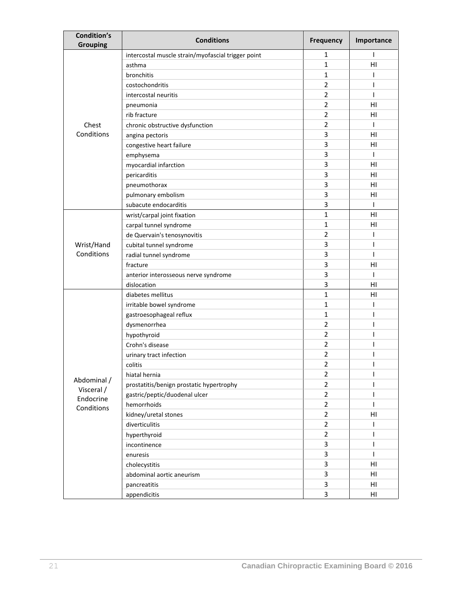| <b>Condition's</b><br><b>Grouping</b> | <b>Conditions</b>                                  | <b>Frequency</b> | Importance |
|---------------------------------------|----------------------------------------------------|------------------|------------|
|                                       | intercostal muscle strain/myofascial trigger point | 1                | T          |
|                                       | asthma                                             | 1                | HI         |
|                                       | bronchitis                                         | 1                | ı          |
|                                       | costochondritis                                    | $\overline{2}$   | ı          |
|                                       | intercostal neuritis                               | $\overline{2}$   | I          |
|                                       | pneumonia                                          | $\overline{2}$   | HI         |
|                                       | rib fracture                                       | $\overline{2}$   | HI         |
| Chest                                 | chronic obstructive dysfunction                    | $\overline{2}$   | ı          |
| Conditions                            | angina pectoris                                    | 3                | HI         |
|                                       | congestive heart failure                           | 3                | ΗI         |
|                                       | emphysema                                          | 3                | T          |
|                                       | myocardial infarction                              | 3                | HI         |
|                                       | pericarditis                                       | 3                | HI         |
|                                       | pneumothorax                                       | 3                | HI         |
|                                       | pulmonary embolism                                 | 3                | HI         |
|                                       | subacute endocarditis                              | 3                | T          |
|                                       | wrist/carpal joint fixation                        | 1                | HI         |
|                                       | carpal tunnel syndrome                             | 1                | HI         |
|                                       | de Quervain's tenosynovitis                        | $\overline{2}$   | ı          |
| Wrist/Hand                            | cubital tunnel syndrome                            | 3                | ı          |
| Conditions                            | radial tunnel syndrome                             | 3                | ı          |
|                                       | fracture                                           | 3                | HI         |
|                                       | anterior interosseous nerve syndrome               | 3                | T          |
|                                       | dislocation                                        | 3                | HI         |
|                                       | diabetes mellitus                                  | $\mathbf{1}$     | HI         |
|                                       | irritable bowel syndrome                           | 1                | ı          |
|                                       | gastroesophageal reflux                            | 1                | ı          |
|                                       | dysmenorrhea                                       | 2                | ı          |
|                                       | hypothyroid                                        | $\overline{2}$   | ı          |
|                                       | Crohn's disease                                    | $\overline{2}$   | ı          |
|                                       | urinary tract infection                            | $\overline{2}$   | ı          |
|                                       | colitis                                            | 2                |            |
|                                       | hiatal hernia                                      | $\overline{2}$   | ı          |
| Abdominal /<br>Visceral /             | prostatitis/benign prostatic hypertrophy           | $\overline{2}$   | ı          |
| Endocrine                             | gastric/peptic/duodenal ulcer                      | $\overline{2}$   | T          |
| Conditions                            | hemorrhoids                                        | $\overline{2}$   | I          |
|                                       | kidney/uretal stones                               | $\overline{2}$   | HI         |
|                                       | diverticulitis                                     | $\overline{2}$   | T          |
|                                       | hyperthyroid                                       | $\overline{2}$   | T          |
|                                       | incontinence                                       | 3                | I          |
|                                       | enuresis                                           | 3                | I.         |
|                                       | cholecystitis                                      | 3                | HI         |
|                                       | abdominal aortic aneurism                          | 3                | HI         |
|                                       | pancreatitis                                       | 3                | HI         |
|                                       | appendicitis                                       | 3                | HI         |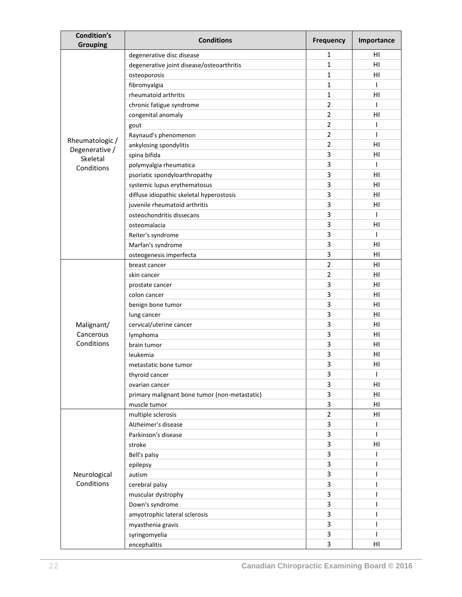| <b>Condition's</b><br><b>Grouping</b> | <b>Conditions</b>                             | <b>Frequency</b> | Importance |
|---------------------------------------|-----------------------------------------------|------------------|------------|
|                                       | degenerative disc disease                     | 1                | ΗI         |
|                                       | degenerative joint disease/osteoarthritis     | 1                | HI         |
|                                       | osteoporosis                                  | 1                | HI         |
|                                       | fibromyalgia                                  | 1                | T          |
|                                       | rheumatoid arthritis                          | 1                | HI         |
|                                       | chronic fatigue syndrome                      | $\overline{2}$   | T          |
|                                       | congenital anomaly                            | $\overline{2}$   | HI         |
|                                       | gout                                          | $\overline{2}$   | T          |
|                                       | Raynaud's phenomenon                          | $\overline{2}$   | T          |
| Rheumatologic /                       | ankylosing spondylitis                        | 2                | HI         |
| Degenerative /                        | spina bifida                                  | 3                | HI         |
| Skeletal<br>Conditions                | polymyalgia rheumatica                        | 3                | T          |
|                                       | psoriatic spondyloarthropathy                 | 3                | HI         |
|                                       | systemic lupus erythematosus                  | 3                | HI         |
|                                       | diffuse idiopathic skeletal hyperostosis      | 3                | HI         |
|                                       | juvenile rheumatoid arthritis                 | 3                | HI         |
|                                       | osteochondritis dissecans                     | 3                | T          |
|                                       | osteomalacia                                  | 3                | HI         |
|                                       | Reiter's syndrome                             | 3                | T          |
|                                       | Marfan's syndrome                             | 3                | HI         |
|                                       | osteogenesis imperfecta                       | 3                | HI         |
|                                       | breast cancer                                 | $\overline{2}$   | HI         |
|                                       | skin cancer                                   | $\overline{2}$   | HI         |
|                                       | prostate cancer                               | 3                | HI         |
|                                       | colon cancer                                  | 3                | HI         |
|                                       | benign bone tumor                             | 3                | HI         |
|                                       | lung cancer                                   | 3                | ΗI         |
| Malignant/                            | cervical/uterine cancer                       | 3                | ΗI         |
| Cancerous                             | lymphoma                                      | 3                | HI         |
| Conditions                            | brain tumor                                   | 3                | HI         |
|                                       | leukemia                                      | 3                | HI         |
|                                       | metastatic bone tumor                         | 3                | HI         |
|                                       | thyroid cancer                                | 3                | T          |
|                                       | ovarian cancer                                | 3                | HI         |
|                                       | primary malignant bone tumor (non-metastatic) | 3                | HI         |
|                                       | muscle tumor                                  | 3                | HI         |
|                                       | multiple sclerosis                            | $\overline{2}$   | HI         |
|                                       | Alzheimer's disease                           | 3                | L          |
|                                       | Parkinson's disease                           | 3                | T          |
|                                       | stroke                                        | 3                | H1         |
|                                       | Bell's palsy                                  | 3                | L          |
|                                       | epilepsy                                      | 3                | T          |
| Neurological                          | autism                                        | 3                | ı          |
| Conditions                            | cerebral palsy                                | 3                | ı          |
|                                       | muscular dystrophy                            | 3                | ı          |
|                                       | Down's syndrome                               | 3                | I          |
|                                       | amyotrophic lateral sclerosis                 | 3                | T          |
|                                       | myasthenia gravis                             | 3                | ı          |
|                                       | syringomyelia                                 | 3                | T          |
|                                       | encephalitis                                  | 3                | HI         |